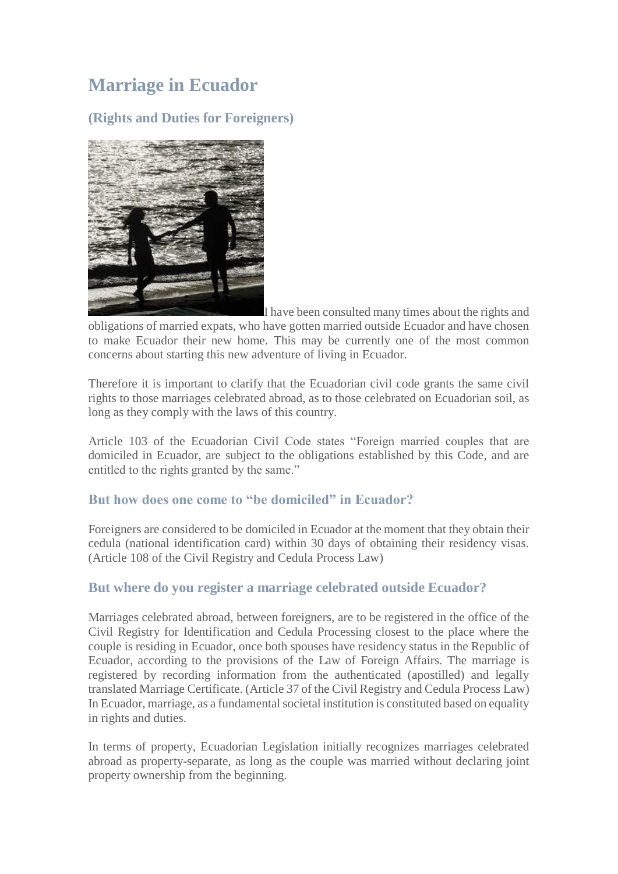# **Marriage in Ecuador**

## **(Rights and Duties for Foreigners)**



I have been consulted many times about the rights and obligations of married expats, who have gotten married outside Ecuador and have chosen to make Ecuador their new home. This may be currently one of the most common concerns about starting this new adventure of living in Ecuador.

Therefore it is important to clarify that the Ecuadorian civil code grants the same civil rights to those marriages celebrated abroad, as to those celebrated on Ecuadorian soil, as long as they comply with the laws of this country.

Article 103 of the Ecuadorian Civil Code states "Foreign married couples that are domiciled in Ecuador, are subject to the obligations established by this Code, and are entitled to the rights granted by the same."

#### **But how does one come to "be domiciled" in Ecuador?**

Foreigners are considered to be domiciled in Ecuador at the moment that they obtain their cedula (national identification card) within 30 days of obtaining their residency visas. (Article 108 of the Civil Registry and Cedula Process Law)

### **But where do you register a marriage celebrated outside Ecuador?**

Marriages celebrated abroad, between foreigners, are to be registered in the office of the Civil Registry for Identification and Cedula Processing closest to the place where the couple is residing in Ecuador, once both spouses have residency status in the Republic of Ecuador, according to the provisions of the Law of Foreign Affairs. The marriage is registered by recording information from the authenticated (apostilled) and legally translated Marriage Certificate. (Article 37 of the Civil Registry and Cedula Process Law) In Ecuador, marriage, as a fundamental societal institution is constituted based on equality in rights and duties.

In terms of property, Ecuadorian Legislation initially recognizes marriages celebrated abroad as property-separate, as long as the couple was married without declaring joint property ownership from the beginning.